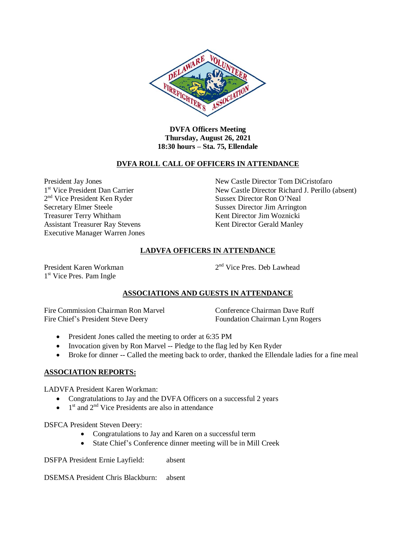

**DVFA Officers Meeting Thursday, August 26, 2021 18:30 hours – Sta. 75, Ellendale**

#### **DVFA ROLL CALL OF OFFICERS IN ATTENDANCE**

1<sup>st</sup> Vice President Dan Carrier Secretary Elmer Steele Sussex Director Jim Arrington Treasurer Terry Whitham Kent Director Jim Woznicki Assistant Treasurer Ray Stevens Kent Director Gerald Manley Executive Manager Warren Jones

President Jay Jones New Castle Director Tom DiCristofaro New Castle Director Richard J. Perillo (absent) 2<sup>nd</sup> Vice President Ken Ryder Sussex Director Ron O'Neal

# **LADVFA OFFICERS IN ATTENDANCE**

President Karen Workman 2 1<sup>st</sup> Vice Pres. Pam Ingle

 $2<sup>nd</sup>$  Vice Pres. Deb Lawhead

## **ASSOCIATIONS AND GUESTS IN ATTENDANCE**

Fire Commission Chairman Ron Marvel Conference Chairman Dave Ruff Fire Chief's President Steve Deery Foundation Chairman Lynn Rogers

- President Jones called the meeting to order at 6:35 PM
- Invocation given by Ron Marvel -- Pledge to the flag led by Ken Ryder
- Broke for dinner -- Called the meeting back to order, thanked the Ellendale ladies for a fine meal

## **ASSOCIATION REPORTS:**

LADVFA President Karen Workman:

- Congratulations to Jay and the DVFA Officers on a successful 2 years
- $\bullet$  1<sup>st</sup> and 2<sup>nd</sup> Vice Presidents are also in attendance

DSFCA President Steven Deery:

- Congratulations to Jay and Karen on a successful term
- State Chief's Conference dinner meeting will be in Mill Creek

DSFPA President Ernie Layfield: absent

DSEMSA President Chris Blackburn: absent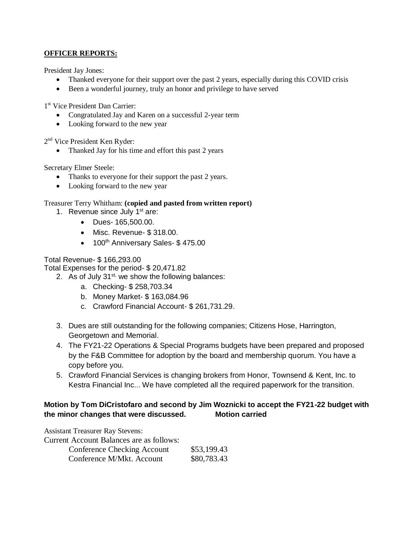### **OFFICER REPORTS:**

President Jay Jones:

- Thanked everyone for their support over the past 2 years, especially during this COVID crisis
- Been a wonderful journey, truly an honor and privilege to have served

1 st Vice President Dan Carrier:

- Congratulated Jay and Karen on a successful 2-year term
- Looking forward to the new year

2<sup>nd</sup> Vice President Ken Ryder:

• Thanked Jay for his time and effort this past 2 years

Secretary Elmer Steele:

- Thanks to everyone for their support the past 2 years.
- Looking forward to the new year

Treasurer Terry Whitham: **(copied and pasted from written report)**

- 1. Revenue since July  $1<sup>st</sup>$  are:
	- Dues- 165,500.00.
	- Misc. Revenue- \$ 318.00.
	- 100<sup>th</sup> Anniversary Sales- \$475.00

## Total Revenue- \$ 166,293.00

Total Expenses for the period- \$ 20,471.82

2. As of July  $31^{st}$ , we show the following balances:

- a. Checking- \$ 258,703.34
- b. Money Market- \$ 163,084.96
- c. Crawford Financial Account- \$ 261,731.29.
- 3. Dues are still outstanding for the following companies; Citizens Hose, Harrington, Georgetown and Memorial.
- 4. The FY21-22 Operations & Special Programs budgets have been prepared and proposed by the F&B Committee for adoption by the board and membership quorum. You have a copy before you.
- 5. Crawford Financial Services is changing brokers from Honor, Townsend & Kent, Inc. to Kestra Financial Inc... We have completed all the required paperwork for the transition.

# **Motion by Tom DiCristofaro and second by Jim Woznicki to accept the FY21-22 budget with the minor changes that were discussed. Motion carried**

Assistant Treasurer Ray Stevens:

Current Account Balances are as follows:

| Conference Checking Account | \$53,199.43 |
|-----------------------------|-------------|
| Conference M/Mkt. Account   | \$80,783.43 |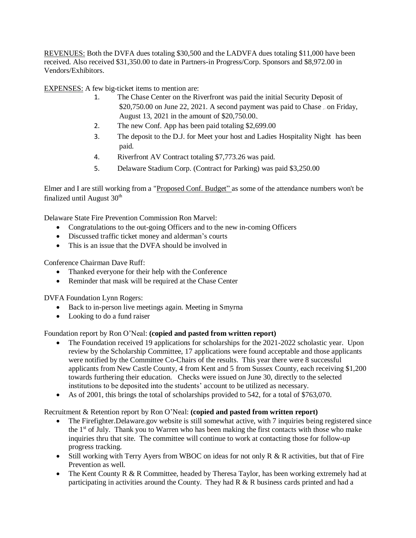REVENUES: Both the DVFA dues totaling \$30,500 and the LADVFA dues totaling \$11,000 have been received. Also received \$31,350.00 to date in Partners-in Progress/Corp. Sponsors and \$8,972.00 in Vendors/Exhibitors.

EXPENSES: A few big-ticket items to mention are:

- 1. The Chase Center on the Riverfront was paid the initial Security Deposit of \$20,750.00 on June 22, 2021. A second payment was paid to Chase on Friday, August 13, 2021 in the amount of \$20,750.00.
- 2. The new Conf. App has been paid totaling \$2,699.00
- 3. The deposit to the D.J. for Meet your host and Ladies Hospitality Night has been paid.
- 4. Riverfront AV Contract totaling \$7,773.26 was paid.
- 5. Delaware Stadium Corp. (Contract for Parking) was paid \$3,250.00

Elmer and I are still working from a "Proposed Conf. Budget" as some of the attendance numbers won't be finalized until August  $30<sup>th</sup>$ 

Delaware State Fire Prevention Commission Ron Marvel:

- Congratulations to the out-going Officers and to the new in-coming Officers
- Discussed traffic ticket money and alderman's courts
- This is an issue that the DVFA should be involved in

Conference Chairman Dave Ruff:

- Thanked everyone for their help with the Conference
- Reminder that mask will be required at the Chase Center

DVFA Foundation Lynn Rogers:

- Back to in-person live meetings again. Meeting in Smyrna
- Looking to do a fund raiser

Foundation report by Ron O'Neal: **(copied and pasted from written report)**

- The Foundation received 19 applications for scholarships for the 2021-2022 scholastic year. Upon review by the Scholarship Committee, 17 applications were found acceptable and those applicants were notified by the Committee Co-Chairs of the results. This year there were 8 successful applicants from New Castle County, 4 from Kent and 5 from Sussex County, each receiving \$1,200 towards furthering their education. Checks were issued on June 30, directly to the selected institutions to be deposited into the students' account to be utilized as necessary.
- As of 2001, this brings the total of scholarships provided to 542, for a total of \$763,070.

#### Recruitment & Retention report by Ron O'Neal: **(copied and pasted from written report)**

- The Firefighter. Delaware.gov website is still somewhat active, with 7 inquiries being registered since the  $1<sup>st</sup>$  of July. Thank you to Warren who has been making the first contacts with those who make inquiries thru that site. The committee will continue to work at contacting those for follow-up progress tracking.
- Still working with Terry Ayers from WBOC on ideas for not only R & R activities, but that of Fire Prevention as well.
- The Kent County R & R Committee, headed by Theresa Taylor, has been working extremely had at participating in activities around the County. They had R & R business cards printed and had a